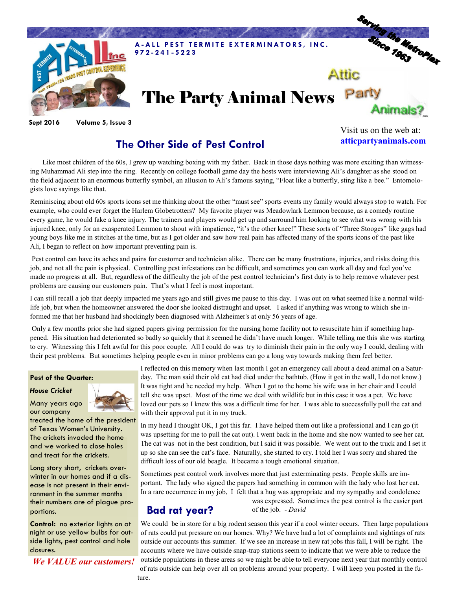

**Sept 2016 Volume 5, Issue 3**

## **The Other Side of Pest Control**

Visit us on the web at: **atticpartyanimals.com**

Like most children of the 60s, I grew up watching boxing with my father. Back in those days nothing was more exciting than witnessing Muhammad Ali step into the ring. Recently on college football game day the hosts were interviewing Ali's daughter as she stood on the field adjacent to an enormous butterfly symbol, an allusion to Ali's famous saying, "Float like a butterfly, sting like a bee." Entomologists love sayings like that.

Reminiscing about old 60s sports icons set me thinking about the other "must see" sports events my family would always stop to watch. For example, who could ever forget the Harlem Globetrotters? My favorite player was Meadowlark Lemmon because, as a comedy routine every game, he would fake a knee injury. The trainers and players would get up and surround him looking to see what was wrong with his injured knee, only for an exasperated Lemmon to shout with impatience, "it's the other knee!" These sorts of "Three Stooges" like gags had young boys like me in stitches at the time, but as I got older and saw how real pain has affected many of the sports icons of the past like Ali, I began to reflect on how important preventing pain is.

Pest control can have its aches and pains for customer and technician alike. There can be many frustrations, injuries, and risks doing this job, and not all the pain is physical. Controlling pest infestations can be difficult, and sometimes you can work all day and feel you've made no progress at all. But, regardless of the difficulty the job of the pest control technician's first duty is to help remove whatever pest problems are causing our customers pain. That's what I feel is most important.

I can still recall a job that deeply impacted me years ago and still gives me pause to this day. I was out on what seemed like a normal wildlife job, but when the homeowner answered the door she looked distraught and upset. I asked if anything was wrong to which she informed me that her husband had shockingly been diagnosed with Alzheimer's at only 56 years of age.

Only a few months prior she had signed papers giving permission for the nursing home facility not to resuscitate him if something happened. His situation had deteriorated so badly so quickly that it seemed he didn't have much longer. While telling me this she was starting to cry. Witnessing this I felt awful for this poor couple. All I could do was try to diminish their pain in the only way I could, dealing with their pest problems. But sometimes helping people even in minor problems can go a long way towards making them feel better.

#### **Pest of the Quarter:**

#### *House Cricket*



Many years ago our company

treated the home of the president of Texas Women's University. The crickets invaded the home and we worked to close holes and treat for the crickets.

Long story short, crickets overwinter in our homes and if a disease is not present in their environment in the summer months their numbers are of plague proportions.

**Control:** no exterior lights on at night or use yellow bulbs for outside lights, pest control and hole closures.

*We VALUE our customers!*

I reflected on this memory when last month I got an emergency call about a dead animal on a Saturday. The man said their old cat had died under the bathtub. (How it got in the wall, I do not know.) It was tight and he needed my help. When I got to the home his wife was in her chair and I could tell she was upset. Most of the time we deal with wildlife but in this case it was a pet. We have loved our pets so I knew this was a difficult time for her. I was able to successfully pull the cat and with their approval put it in my truck.

In my head I thought OK, I got this far. I have helped them out like a professional and I can go (it was upsetting for me to pull the cat out). I went back in the home and she now wanted to see her cat. The cat was not in the best condition, but I said it was possible. We went out to the truck and I set it up so she can see the cat's face. Naturally, she started to cry. I told her I was sorry and shared the difficult loss of our old beagle. It became a tough emotional situation.

Sometimes pest control work involves more that just exterminating pests. People skills are important. The lady who signed the papers had something in common with the lady who lost her cat. In a rare occurrence in my job, I felt that a hug was appropriate and my sympathy and condolence

### **Bad rat year?**

was expressed. Sometimes the pest control is the easier part of the job. - *David*

We could be in store for a big rodent season this year if a cool winter occurs. Then large populations of rats could put pressure on our homes. Why? We have had a lot of complaints and sightings of rats outside our accounts this summer. If we see an increase in new rat jobs this fall, I will be right. The accounts where we have outside snap-trap stations seem to indicate that we were able to reduce the outside populations in these areas so we might be able to tell everyone next year that monthly control of rats outside can help over all on problems around your property. I will keep you posted in the future.